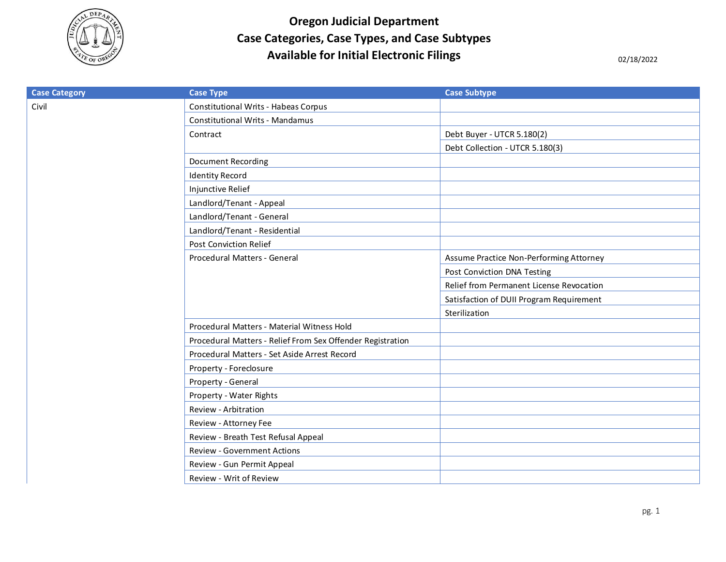

**Oregon Judicial Department Case Categories, Case Types, and Case Subtypes**  Available for Initial Electronic Filings<br>
02/18/2022

| <b>Case Category</b> | <b>Case Type</b>                                           | <b>Case Subtype</b>                      |
|----------------------|------------------------------------------------------------|------------------------------------------|
| Civil                | Constitutional Writs - Habeas Corpus                       |                                          |
|                      | <b>Constitutional Writs - Mandamus</b>                     |                                          |
|                      | Contract                                                   | Debt Buyer - UTCR 5.180(2)               |
|                      |                                                            | Debt Collection - UTCR 5.180(3)          |
|                      | <b>Document Recording</b>                                  |                                          |
|                      | <b>Identity Record</b>                                     |                                          |
|                      | Injunctive Relief                                          |                                          |
|                      | Landlord/Tenant - Appeal                                   |                                          |
|                      | Landlord/Tenant - General                                  |                                          |
|                      | Landlord/Tenant - Residential                              |                                          |
|                      | <b>Post Conviction Relief</b>                              |                                          |
|                      | Procedural Matters - General                               | Assume Practice Non-Performing Attorney  |
|                      |                                                            | Post Conviction DNA Testing              |
|                      |                                                            | Relief from Permanent License Revocation |
|                      |                                                            | Satisfaction of DUII Program Requirement |
|                      |                                                            | Sterilization                            |
|                      | Procedural Matters - Material Witness Hold                 |                                          |
|                      | Procedural Matters - Relief From Sex Offender Registration |                                          |
|                      | Procedural Matters - Set Aside Arrest Record               |                                          |
|                      | Property - Foreclosure                                     |                                          |
|                      | Property - General                                         |                                          |
|                      | Property - Water Rights                                    |                                          |
|                      | Review - Arbitration                                       |                                          |
|                      | Review - Attorney Fee                                      |                                          |
|                      | Review - Breath Test Refusal Appeal                        |                                          |
|                      | <b>Review - Government Actions</b>                         |                                          |
|                      | Review - Gun Permit Appeal                                 |                                          |
|                      | Review - Writ of Review                                    |                                          |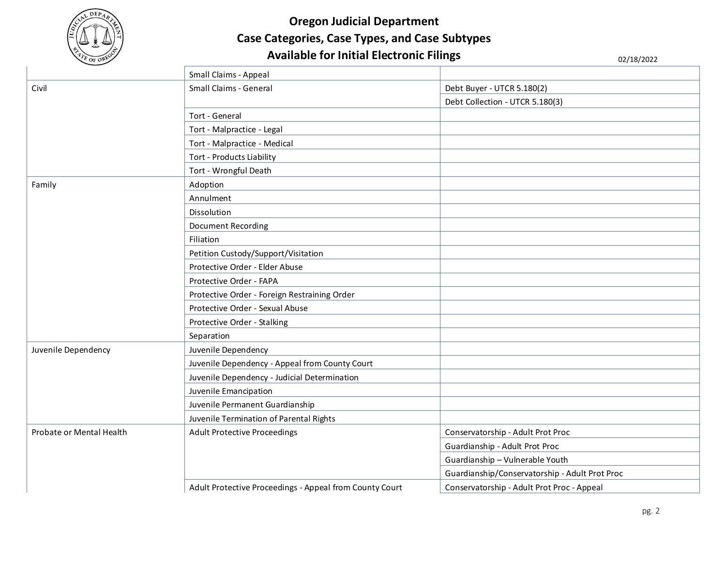

## **Oregon Judicial Department Case Categories, Case Types, and Case Subtypes**  Available for Initial Electronic Filings<br>
02/18/2022

|                          | Small Claims - Appeal                                   |                                                |
|--------------------------|---------------------------------------------------------|------------------------------------------------|
| Civil                    | Small Claims - General                                  | Debt Buyer - UTCR 5.180(2)                     |
|                          |                                                         | Debt Collection - UTCR 5.180(3)                |
|                          | Tort - General                                          |                                                |
|                          | Tort - Malpractice - Legal                              |                                                |
|                          | Tort - Malpractice - Medical                            |                                                |
|                          | Tort - Products Liability                               |                                                |
|                          | Tort - Wrongful Death                                   |                                                |
| Family                   | Adoption                                                |                                                |
|                          | Annulment                                               |                                                |
|                          | Dissolution                                             |                                                |
|                          | <b>Document Recording</b>                               |                                                |
|                          | Filiation                                               |                                                |
|                          | Petition Custody/Support/Visitation                     |                                                |
|                          | Protective Order - Elder Abuse                          |                                                |
|                          | Protective Order - FAPA                                 |                                                |
|                          | Protective Order - Foreign Restraining Order            |                                                |
|                          | Protective Order - Sexual Abuse                         |                                                |
|                          | Protective Order - Stalking                             |                                                |
|                          | Separation                                              |                                                |
| Juvenile Dependency      | Juvenile Dependency                                     |                                                |
|                          | Juvenile Dependency - Appeal from County Court          |                                                |
|                          | Juvenile Dependency - Judicial Determination            |                                                |
|                          | Juvenile Emancipation                                   |                                                |
|                          | Juvenile Permanent Guardianship                         |                                                |
|                          | Juvenile Termination of Parental Rights                 |                                                |
| Probate or Mental Health | <b>Adult Protective Proceedings</b>                     | Conservatorship - Adult Prot Proc              |
|                          |                                                         | Guardianship - Adult Prot Proc                 |
|                          |                                                         | Guardianship - Vulnerable Youth                |
|                          |                                                         | Guardianship/Conservatorship - Adult Prot Proc |
|                          | Adult Protective Proceedings - Appeal from County Court | Conservatorship - Adult Prot Proc - Appeal     |